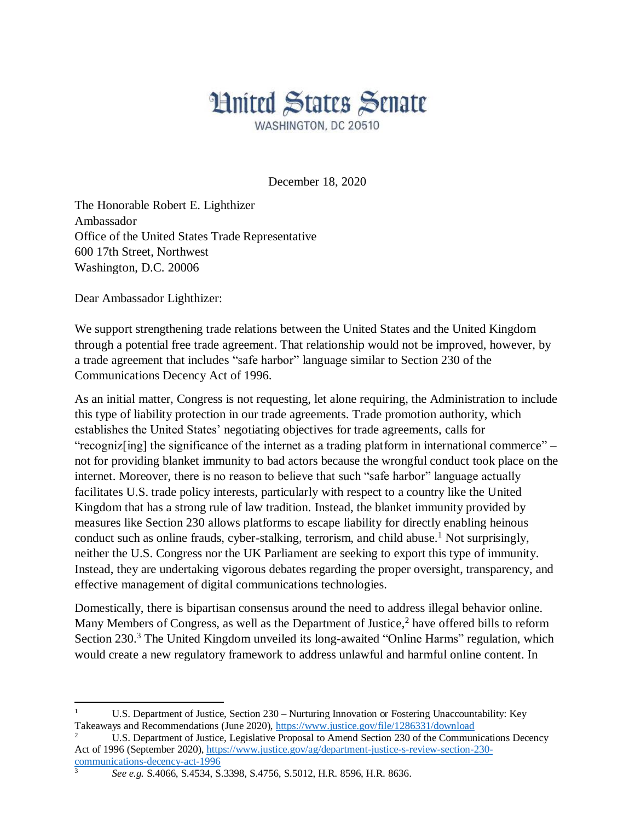## **Hnited States Senate**

WASHINGTON, DC 20510

December 18, 2020

The Honorable Robert E. Lighthizer Ambassador Office of the United States Trade Representative 600 17th Street, Northwest Washington, D.C. 20006

Dear Ambassador Lighthizer:

We support strengthening trade relations between the United States and the United Kingdom through a potential free trade agreement. That relationship would not be improved, however, by a trade agreement that includes "safe harbor" language similar to Section 230 of the Communications Decency Act of 1996.

As an initial matter, Congress is not requesting, let alone requiring, the Administration to include this type of liability protection in our trade agreements. Trade promotion authority, which establishes the United States' negotiating objectives for trade agreements, calls for "recogniz[ing] the significance of the internet as a trading platform in international commerce" – not for providing blanket immunity to bad actors because the wrongful conduct took place on the internet. Moreover, there is no reason to believe that such "safe harbor" language actually facilitates U.S. trade policy interests, particularly with respect to a country like the United Kingdom that has a strong rule of law tradition. Instead, the blanket immunity provided by measures like Section 230 allows platforms to escape liability for directly enabling heinous conduct such as online frauds, cyber-stalking, terrorism, and child abuse.<sup>1</sup> Not surprisingly, neither the U.S. Congress nor the UK Parliament are seeking to export this type of immunity. Instead, they are undertaking vigorous debates regarding the proper oversight, transparency, and effective management of digital communications technologies.

Domestically, there is bipartisan consensus around the need to address illegal behavior online. Many Members of Congress, as well as the Department of Justice,<sup>2</sup> have offered bills to reform Section 230.<sup>3</sup> The United Kingdom unveiled its long-awaited "Online Harms" regulation, which would create a new regulatory framework to address unlawful and harmful online content. In

 $\overline{a}$ <sup>1</sup> U.S. Department of Justice, Section 230 – Nurturing Innovation or Fostering Unaccountability: Key Takeaways and Recommendations (June 2020),<https://www.justice.gov/file/1286331/download>

<sup>2</sup> U.S. Department of Justice, Legislative Proposal to Amend Section 230 of the Communications Decency Act of 1996 (September 2020), [https://www.justice.gov/ag/department-justice-s-review-section-230](https://www.justice.gov/ag/department-justice-s-review-section-230-communications-decency-act-1996) [communications-decency-act-1996](https://www.justice.gov/ag/department-justice-s-review-section-230-communications-decency-act-1996)

<sup>3</sup> *See e.g.* S.4066, S.4534, S.3398, S.4756, S.5012, H.R. 8596, H.R. 8636.